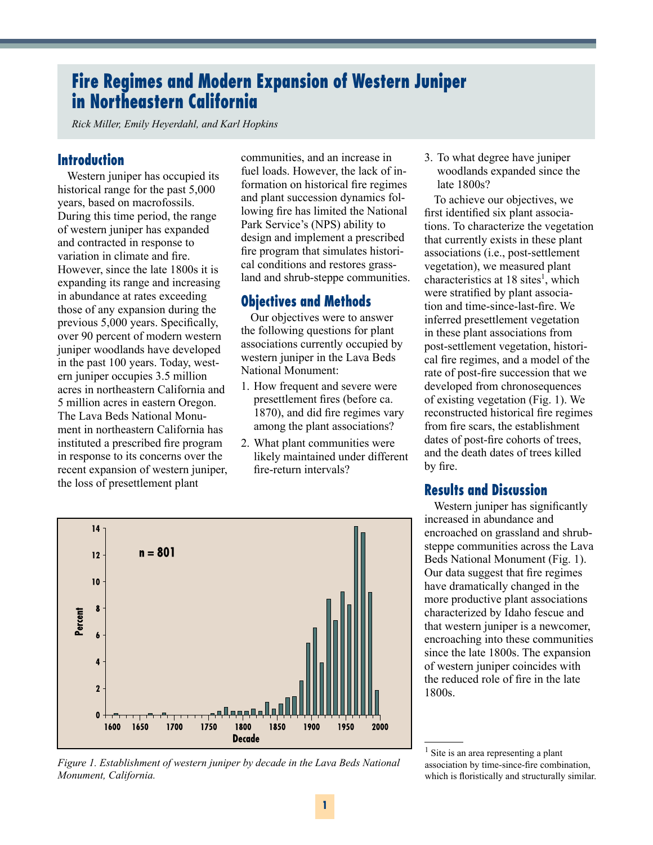# **Fire Regimes and Modern Expansion of Western Juniper in Northeastern California**

*Rick Miller, Emily Heyerdahl, and Karl Hopkins*

### **Introduction**

Western juniper has occupied its historical range for the past 5,000 years, based on macrofossils. During this time period, the range of western juniper has expanded and contracted in response to variation in climate and fire. However, since the late 1800s it is expanding its range and increasing in abundance at rates exceeding those of any expansion during the previous 5,000 years. Specifically, over 90 percent of modern western juniper woodlands have developed in the past 100 years. Today, western juniper occupies 3.5 million acres in northeastern California and 5 million acres in eastern Oregon. The Lava Beds National Monument in northeastern California has instituted a prescribed fire program in response to its concerns over the recent expansion of western juniper, the loss of presettlement plant

communities, and an increase in fuel loads. However, the lack of information on historical fire regimes and plant succession dynamics following fire has limited the National Park Service's (NPS) ability to design and implement a prescribed fire program that simulates historical conditions and restores grassland and shrub-steppe communities.

## **Objectives and Methods**

Our objectives were to answer the following questions for plant associations currently occupied by western juniper in the Lava Beds National Monument:

- 1. How frequent and severe were presettlement fires (before ca. 1870), and did fire regimes vary among the plant associations?
- 2. What plant communities were likely maintained under different fire-return intervals?

3. To what degree have juniper woodlands expanded since the late 1800s?

To achieve our objectives, we first identified six plant associations. To characterize the vegetation that currently exists in these plant associations (i.e., post-settlement vegetation), we measured plant characteristics at 18 sites<sup>1</sup>, which were stratified by plant association and time-since-last-fire. We inferred presettlement vegetation in these plant associations from post-settlement vegetation, historical fire regimes, and a model of the rate of post-fire succession that we developed from chronosequences of existing vegetation (Fig. 1). We reconstructed historical fire regimes from fire scars, the establishment dates of post-fire cohorts of trees, and the death dates of trees killed by fire.

#### **Results and Discussion**

Western juniper has significantly increased in abundance and encroached on grassland and shrubsteppe communities across the Lava Beds National Monument (Fig. 1). Our data suggest that fire regimes have dramatically changed in the more productive plant associations characterized by Idaho fescue and that western juniper is a newcomer, encroaching into these communities since the late 1800s. The expansion of western juniper coincides with the reduced role of fire in the late 1800s.

<sup>&</sup>lt;sup>1</sup> Site is an area representing a plant association by time-since-fire combination, which is floristically and structurally similar.



*Figure 1. Establishment of western juniper by decade in the Lava Beds National Monument, California.*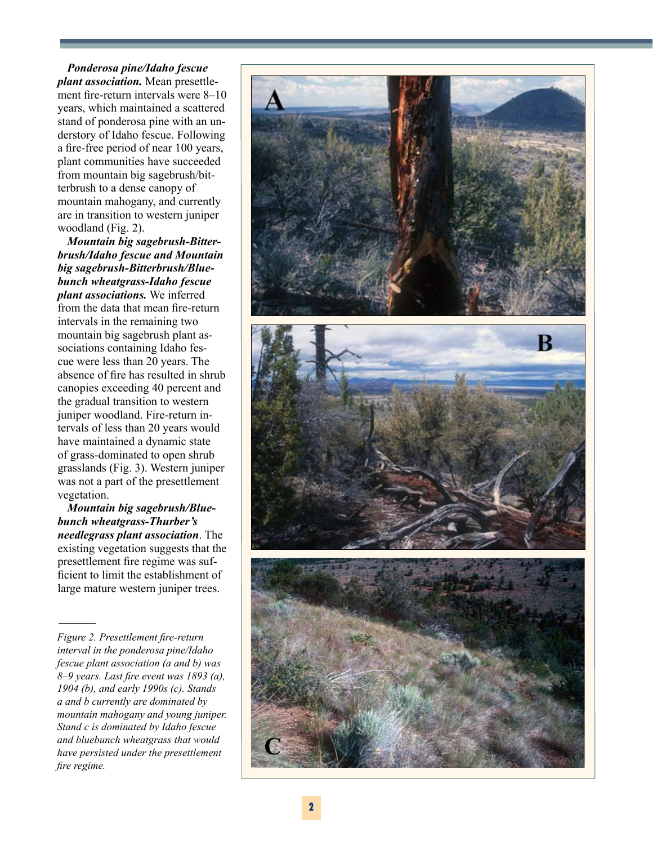*Ponderosa pine/Idaho fescue plant association.* Mean presettlement fire-return intervals were 8–10 years, which maintained a scattered stand of ponderosa pine with an understory of Idaho fescue. Following a fire-free period of near 100 years, plant communities have succeeded from mountain big sagebrush/bitterbrush to a dense canopy of mountain mahogany, and currently are in transition to western juniper woodland (Fig. 2).

*Mountain big sagebrush-Bitterbrush/Idaho fescue and Mountain big sagebrush-Bitterbrush/Bluebunch wheatgrass-Idaho fescue plant associations.* We inferred from the data that mean fire-return intervals in the remaining two mountain big sagebrush plant associations containing Idaho fescue were less than 20 years. The absence of fire has resulted in shrub canopies exceeding 40 percent and the gradual transition to western juniper woodland. Fire-return intervals of less than 20 years would have maintained a dynamic state of grass-dominated to open shrub grasslands (Fig. 3). Western juniper was not a part of the presettlement vegetation.

*Mountain big sagebrush/Bluebunch wheatgrass-Thurber's needlegrass plant association*. The existing vegetation suggests that the presettlement fire regime was sufficient to limit the establishment of large mature western juniper trees.

*Figure 2. Presettlement fire-return interval in the ponderosa pine/Idaho fescue plant association (a and b) was 8–9 years. Last fire event was 1893 (a), 1904 (b), and early 1990s (c). Stands a and b currently are dominated by mountain mahogany and young juniper. Stand c is dominated by Idaho fescue and bluebunch wheatgrass that would have persisted under the presettlement fire regime.*